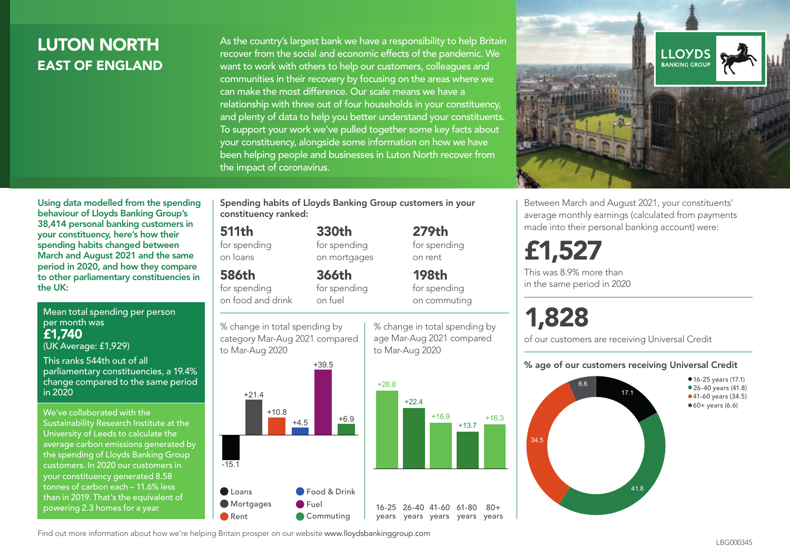# LUTON NORTH EAST OF ENGLAND

As the country's largest bank we have a responsibility to help Britain recover from the social and economic effects of the pandemic. We want to work with others to help our customers, colleagues and communities in their recovery by focusing on the areas where we can make the most difference. Our scale means we have a relationship with three out of four households in your constituency, and plenty of data to help you better understand your constituents. To support your work we've pulled together some key facts about your constituency, alongside some information on how we have been helping people and businesses in Luton North recover from the impact of coronavirus.



Between March and August 2021, your constituents' average monthly earnings (calculated from payments made into their personal banking account) were:

# £1,527

This was 8.9% more than in the same period in 2020

# 1,828

of our customers are receiving Universal Credit

#### % age of our customers receiving Universal Credit



Using data modelled from the spending behaviour of Lloyds Banking Group's 38,414 personal banking customers in your constituency, here's how their spending habits changed between March and August 2021 and the same period in 2020, and how they compare to other parliamentary constituencies in the UK:

Mean total spending per person per month was £1,740 (UK Average: £1,929)

This ranks 544th out of all parliamentary constituencies, a 19.4% change compared to the same period in 2020

We've collaborated with the Sustainability Research Institute at the University of Leeds to calculate the average carbon emissions generated by the spending of Lloyds Banking Group customers. In 2020 our customers in your constituency generated 8.58 tonnes of carbon each – 11.6% less than in 2019. That's the equivalent of powering 2.3 homes for a year

Spending habits of Lloyds Banking Group customers in your constituency ranked:

> 330th for spending on mortgages

366th

#### 511th

for spending on loans

#### 586th

for spending on food and drink

for spending on fuel



% change in total spending by age Mar-Aug 2021 compared to Mar-Aug 2020

279th for spending on rent

198th for spending on commuting

years years years years years



Find out more information about how we're helping Britain prosper on our website www.lloydsbankinggroup.com